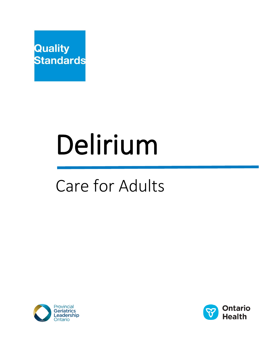

# Delirium

## Care for Adults



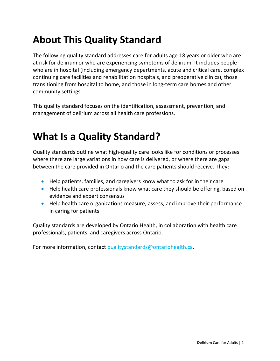## **About This Quality Standard**

The following quality standard addresses care for adults age 18 years or older who are at risk for delirium or who are experiencing symptoms of delirium. It includes people who are in hospital (including emergency departments, acute and critical care, complex continuing care facilities and rehabilitation hospitals, and preoperative clinics), those transitioning from hospital to home, and those in long-term care homes and other community settings.

This quality standard focuses on the identification, assessment, prevention, and management of delirium across all health care professions.

## **What Is a Quality Standard?**

Quality standards outline what high-quality care looks like for conditions or processes where there are large variations in how care is delivered, or where there are gaps between the care provided in Ontario and the care patients should receive. They:

- Help patients, families, and caregivers know what to ask for in their care
- Help health care professionals know what care they should be offering, based on evidence and expert consensus
- Help health care organizations measure, assess, and improve their performance in caring for patients

Quality standards are developed by Ontario Health, in collaboration with health care professionals, patients, and caregivers across Ontario.

For more information, contact [qualitystandards@ontariohealth.ca.](mailto:qualitystandards@ontariohealth.ca)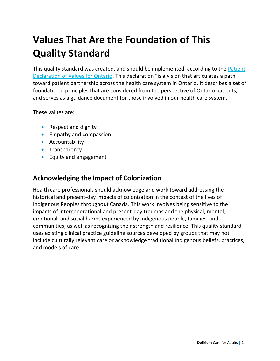## **Values That Are the Foundation of This Quality Standard**

This quality standard was created, and should be implemented, according to the [Patient](https://www.ontario.ca/page/patient-declaration-values-ontario)  [Declaration of Values for Ontario.](https://www.ontario.ca/page/patient-declaration-values-ontario) This declaration "is a vision that articulates a path toward patient partnership across the health care system in Ontario. It describes a set of foundational principles that are considered from the perspective of Ontario patients, and serves as a guidance document for those involved in our health care system."

These values are:

- Respect and dignity
- Empathy and compassion
- Accountability
- **•** Transparency
- Equity and engagement

#### **Acknowledging the Impact of Colonization**

Health care professionals should acknowledge and work toward addressing the historical and present-day impacts of colonization in the context of the lives of Indigenous Peoples throughout Canada. This work involves being sensitive to the impacts of intergenerational and present-day traumas and the physical, mental, emotional, and social harms experienced by Indigenous people, families, and communities, as well as recognizing their strength and resilience. This quality standard uses existing clinical practice guideline sources developed by groups that may not include culturally relevant care or acknowledge traditional Indigenous beliefs, practices, and models of care.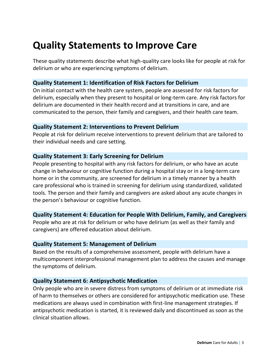## **Quality Statements to Improve Care**

These quality statements describe what high-quality care looks like for people at risk for delirium or who are experiencing symptoms of delirium.

#### **Quality Statement 1: Identification of Risk Factors for Delirium**

On initial contact with the health care system, people are assessed for risk factors for delirium, especially when they present to hospital or long-term care. Any risk factors for delirium are documented in their health record and at transitions in care, and are communicated to the person, their family and caregivers, and their health care team.

#### **Quality Statement 2: Interventions to Prevent Delirium**

People at risk for delirium receive interventions to prevent delirium that are tailored to their individual needs and care setting.

#### **Quality Statement 3: Early Screening for Delirium**

People presenting to hospital with any risk factors for delirium, or who have an acute change in behaviour or cognitive function during a hospital stay or in a long-term care home or in the community, are screened for delirium in a timely manner by a health care professional who is trained in screening for delirium using standardized, validated tools. The person and their family and caregivers are asked about any acute changes in the person's behaviour or cognitive function.

#### **Quality Statement 4: Education for People With Delirium, Family, and Caregivers**

People who are at risk for delirium or who have delirium (as well as their family and caregivers) are offered education about delirium.

#### **Quality Statement 5: Management of Delirium**

Based on the results of a comprehensive assessment, people with delirium have a multicomponent interprofessional management plan to address the causes and manage the symptoms of delirium.

#### **Quality Statement 6: Antipsychotic Medication**

Only people who are in severe distress from symptoms of delirium or at immediate risk of harm to themselves or others are considered for antipsychotic medication use. These medications are always used in combination with first-line management strategies. If antipsychotic medication is started, it is reviewed daily and discontinued as soon as the clinical situation allows.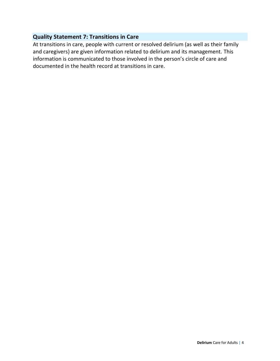#### **Quality Statement 7: Transitions in Care**

At transitions in care, people with current or resolved delirium (as well as their family and caregivers) are given information related to delirium and its management. This information is communicated to those involved in the person's circle of care and documented in the health record at transitions in care.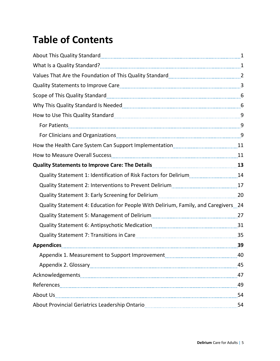## **Table of Contents**

| About This Quality Standard [11, 120] About This Quality Standard [11] About This Quality Standard [11] About T |  |
|-----------------------------------------------------------------------------------------------------------------|--|
|                                                                                                                 |  |
| Values That Are the Foundation of This Quality Standard [1001] [2010] 2012 [2010] [2010] Mallenge That Are The  |  |
|                                                                                                                 |  |
|                                                                                                                 |  |
|                                                                                                                 |  |
|                                                                                                                 |  |
|                                                                                                                 |  |
|                                                                                                                 |  |
|                                                                                                                 |  |
|                                                                                                                 |  |
|                                                                                                                 |  |
| Quality Statement 1: Identification of Risk Factors for Delirium14                                              |  |
|                                                                                                                 |  |
|                                                                                                                 |  |
| Quality Statement 4: Education for People With Delirium, Family, and Caregivers 24                              |  |
|                                                                                                                 |  |
|                                                                                                                 |  |
|                                                                                                                 |  |
| Appendices 29                                                                                                   |  |
|                                                                                                                 |  |
|                                                                                                                 |  |
|                                                                                                                 |  |
|                                                                                                                 |  |
|                                                                                                                 |  |
|                                                                                                                 |  |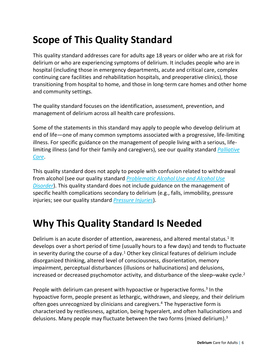## **Scope of This Quality Standard**

This quality standard addresses care for adults age 18 years or older who are at risk for delirium or who are experiencing symptoms of delirium. It includes people who are in hospital (including those in emergency departments, acute and critical care, complex continuing care facilities and rehabilitation hospitals, and preoperative clinics), those transitioning from hospital to home, and those in long-term care homes and other home and community settings.

The quality standard focuses on the identification, assessment, prevention, and management of delirium across all health care professions.

Some of the statements in this standard may apply to people who develop delirium at end of life—one of many common symptoms associated with a progressive, life-limiting illness. For specific guidance on the management of people living with a serious, lifelimiting illness (and for their family and caregivers), see our quality standard *[Palliative](https://www.hqontario.ca/portals/0/documents/evidence/quality-standards/qs-palliative-care-clinical-guide-en.pdf)  [Care](https://www.hqontario.ca/portals/0/documents/evidence/quality-standards/qs-palliative-care-clinical-guide-en.pdf)*.

This quality standard does not apply to people with confusion related to withdrawal from alcohol (see our quality standard *Problematic [Alcohol Use and Alcohol Use](https://www.hqontario.ca/Portals/0/documents/evidence/quality-standards/qs-alcohol-use-disorder-quality-standard-en.pdf)  [Disorder](https://www.hqontario.ca/Portals/0/documents/evidence/quality-standards/qs-alcohol-use-disorder-quality-standard-en.pdf)*). This quality standard does not include guidance on the management of specific health complications secondary to delirium (e.g., falls, immobility, pressure injuries; see our quality standard *[Pressure Injuries](https://www.hqontario.ca/Evidence-to-Improve-Care/Quality-Standards/View-all-Quality-Standards/Pressure-Injuries)*).

## **Why This Quality Standard Is Needed**

Delirium is an acute disorder of attention, awareness, and altered mental status.<sup>1</sup> It develops over a short period of time (usually hours to a few days) and tends to fluctuate in severity during the course of a day.<sup>1</sup> Other key clinical features of delirium include disorganized thinking, altered level of consciousness, disorientation, memory impairment, perceptual disturbances (illusions or hallucinations) and delusions, increased or decreased psychomotor activity, and disturbance of the sleep-wake cycle.<sup>2</sup>

People with delirium can present with hypoactive or hyperactive forms.<sup>3</sup> In the hypoactive form, people present as lethargic, withdrawn, and sleepy, and their delirium often goes unrecognized by clinicians and caregivers.<sup>4</sup> The hyperactive form is characterized by restlessness, agitation, being hyperalert, and often hallucinations and delusions. Many people may fluctuate between the two forms (mixed delirium).<sup>3</sup>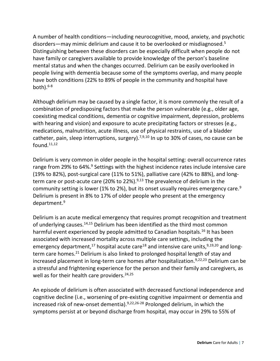A number of health conditions—including neurocognitive, mood, anxiety, and psychotic disorders—may mimic delirium and cause it to be overlooked or misdiagnosed.<sup>5</sup> Distinguishing between these disorders can be especially difficult when people do not have family or caregivers available to provide knowledge of the person's baseline mental status and when the changes occurred. Delirium can be easily overlooked in people living with dementia because some of the symptoms overlap, and many people have both conditions (22% to 89% of people in the community and hospital have both). 6-8

Although delirium may be caused by a single factor, it is more commonly the result of a combination of predisposing factors that make the person vulnerable (e.g., older age, coexisting medical conditions, dementia or cognitive impairment, depression, problems with hearing and vision) and exposure to acute precipitating factors or stresses (e.g., medications, malnutrition, acute illness, use of physical restraints, use of a bladder catheter, pain, sleep interruptions, surgery).<sup>7,9,10</sup> In up to 30% of cases, no cause can be found.11,12

Delirium is very common in older people in the hospital setting: overall occurrence rates range from 29% to 64%.<sup>9</sup> Settings with the highest incidence rates include intensive care (19% to 82%), post-surgical care (11% to 51%), palliative care (42% to 88%), and longterm care or post-acute care (20% to 22%).<sup>9,13</sup> The prevalence of delirium in the community setting is lower (1% to 2%), but its onset usually requires emergency care.<sup>9</sup> Delirium is present in 8% to 17% of older people who present at the emergency department. 9

Delirium is an acute medical emergency that requires prompt recognition and treatment of underlying causes.14,15 Delirium has been identified as the third most common harmful event experienced by people admitted to Canadian hospitals.<sup>16</sup> It has been associated with increased mortality across multiple care settings, including the emergency department,<sup>17</sup> hospital acute care<sup>18</sup> and intensive care units,  $9,19,20$  and longterm care homes. <sup>21</sup> Delirium is also linked to prolonged hospital length of stay and increased placement in long-term care homes after hospitalization. 9,22,23 Delirium can be a stressful and frightening experience for the person and their family and caregivers, as well as for their health care providers.<sup>24,25</sup>

An episode of delirium is often associated with decreased functional independence and cognitive decline (i.e., worsening of pre-existing cognitive impairment or dementia and increased risk of new-onset dementia). 9,22,26-28 Prolonged delirium, in which the symptoms persist at or beyond discharge from hospital, may occur in 29% to 55% of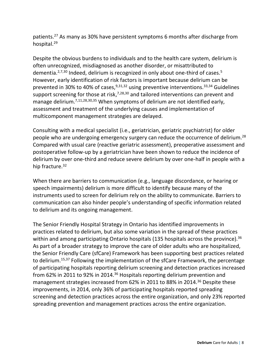patients. <sup>27</sup> As many as 30% have persistent symptoms 6 months after discharge from hospital.<sup>29</sup>

Despite the obvious burdens to individuals and to the health care system, delirium is often unrecognized, misdiagnosed as another disorder, or misattributed to dementia.<sup>2,7,30</sup> Indeed, delirium is recognized in only about one-third of cases.<sup>5</sup> However, early identification of risk factors is important because delirium can be prevented in 30% to 40% of cases,<sup>9,31,32</sup> using preventive interventions.<sup>33,34</sup> Guidelines support screening for those at risk,<sup>7,28,30</sup> and tailored interventions can prevent and manage delirium.<sup>7,11,28,30,35</sup> When symptoms of delirium are not identified early, assessment and treatment of the underlying causes and implementation of multicomponent management strategies are delayed.

Consulting with a medical specialist (i.e., geriatrician, geriatric psychiatrist) for older people who are undergoing emergency surgery can reduce the occurrence of delirium.<sup>28</sup> Compared with usual care (reactive geriatric assessment), preoperative assessment and postoperative follow-up by a geriatrician have been shown to reduce the incidence of delirium by over one-third and reduce severe delirium by over one-half in people with a hip fracture.<sup>32</sup>

When there are barriers to communication (e.g., language discordance, or hearing or speech impairments) delirium is more difficult to identify because many of the instruments used to screen for delirium rely on the ability to communicate. Barriers to communication can also hinder people's understanding of specific information related to delirium and its ongoing management.

The Senior Friendly Hospital Strategy in Ontario has identified improvements in practices related to delirium, but also some variation in the spread of these practices within and among participating Ontario hospitals (135 hospitals across the province).<sup>36</sup> As part of a broader strategy to improve the care of older adults who are hospitalized, the Senior Friendly Care (sfCare) Framework has been supporting best practices related to delirium. 15,37 Following the implementation of the sfCare Framework, the percentage of participating hospitals reporting delirium screening and detection practices increased from 62% in 2011 to 92% in 2014.<sup>36</sup> Hospitals reporting delirium prevention and management strategies increased from 62% in 2011 to 88% in 2014. <sup>36</sup> Despite these improvements, in 2014, only 36% of participating hospitals reported spreading screening and detection practices across the entire organization, and only 23% reported spreading prevention and management practices across the entire organization.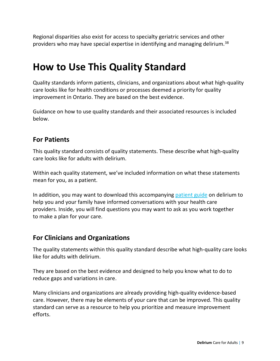Regional disparities also exist for access to specialty geriatric services and other providers who may have special expertise in identifying and managing delirium.<sup>38</sup>

### **How to Use This Quality Standard**

Quality standards inform patients, clinicians, and organizations about what high-quality care looks like for health conditions or processes deemed a priority for quality improvement in Ontario. They are based on the best evidence.

Guidance on how to use quality standards and their associated resources is included below.

#### **For Patients**

This quality standard consists of quality statements. These describe what high-quality care looks like for adults with delirium.

Within each quality statement, we've included information on what these statements mean for you, as a patient.

In addition, you may want to download this accompanying [patient guide](https://www.hqontario.ca/evidence-to-improve-care/quality-standards/view-all-quality-standards/delirium) on delirium to help you and your family have informed conversations with your health care providers. Inside, you will find questions you may want to ask as you work together to make a plan for your care. 

#### **For Clinicians and Organizations**

The quality statements within this quality standard describe what high-quality care looks like for adults with delirium.

They are based on the best evidence and designed to help you know what to do to reduce gaps and variations in care.

Many clinicians and organizations are already providing high-quality evidence-based care. However, there may be elements of your care that can be improved. This quality standard can serve as a resource to help you prioritize and measure improvement efforts.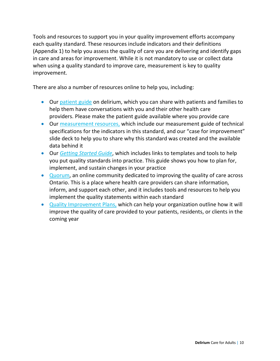Tools and resources to support you in your quality improvement efforts accompany each quality standard. These resources include indicators and their definitions (Appendix 1) to help you assess the quality of care you are delivering and identify gaps in care and areas for improvement. While it is not mandatory to use or collect data when using a quality standard to improve care, measurement is key to quality improvement.

There are also a number of resources online to help you, including:

- Our [patient guide](https://www.hqontario.ca/evidence-to-improve-care/quality-standards/view-all-quality-standards/delirium) on delirium, which you can share with patients and families to help them have conversations with you and their other health care providers. Please make the patient guide available where you provide care
- Our [measurement resources,](https://www.hqontario.ca/evidence-to-improve-care/quality-standards/view-all-quality-standards/delirium) which include our measurement guide of technical specifications for the indicators in this standard, and our "case for improvement" slide deck to help you to share why this standard was created and the available data behind it
- Our *[Getting Started Guide](https://www.hqontario.ca/Portals/0/documents/evidence/quality-standards/getting-started-guide-en.pdf)*, which includes links to templates and tools to help you put quality standards into practice. This guide shows you how to plan for, implement, and sustain changes in your practice
- [Quorum,](https://www.hqontario.ca/Quality-Improvement/Quorum) an online community dedicated to improving the quality of care across Ontario. This is a place where health care providers can share information, inform, and support each other, and it includes tools and resources to help you implement the quality statements within each standard
- Quality [Improvement Plans,](https://www.hqontario.ca/Quality-Improvement/Quality-Improvement-Plans) which can help your organization outline how it will improve the quality of care provided to your patients, residents, or clients in the coming year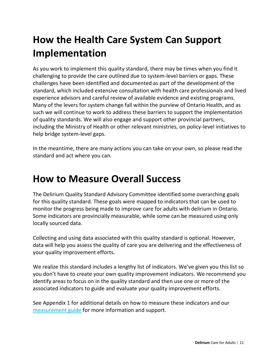## **How the Health Care System Can Support Implementation**

As you work to implement this quality standard, there may be times when you find it challenging to provide the care outlined due to system-level barriers or gaps. These challenges have been identified and documented as part of the development of the standard, which included extensive consultation with health care professionals and lived experience advisors and careful review of available evidence and existing programs. Many of the levers for system change fall within the purview of Ontario Health, and as such we will continue to work to address these barriers to support the implementation of quality standards. We will also engage and support other provincial partners, including the Ministry of Health or other relevant ministries, on policy-level initiatives to help bridge system-level gaps.

In the meantime, there are many actions you can take on your own, so please read the standard and act where you can.

## **How to Measure Overall Success**

The Delirium Quality Standard Advisory Committee identified some overarching goals for this quality standard. These goals were mapped to indicators that can be used to monitor the progress being made to improve care for adults with delirium in Ontario. Some indicators are provincially measurable, while some can be measured using only locally sourced data.

Collecting and using data associated with this quality standard is optional. However, data will help you assess the quality of care you are delivering and the effectiveness of your quality improvement efforts.

We realize this standard includes a lengthy list of indicators. We've given you this list so you don't have to create your own quality improvement indicators. We recommend you identify areas to focus on in the quality standard and then use one or more of the associated indicators to guide and evaluate your quality improvement efforts.

See Appendix 1 for additional details on how to measure these indicators and our [measurement guide](https://www.hqontario.ca/evidence-to-improve-care/quality-standards/view-all-quality-standards/delirium) for more information and support.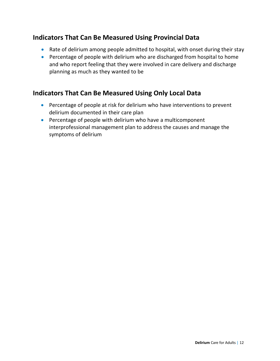#### **Indicators That Can Be Measured Using Provincial Data**

- Rate of delirium among people admitted to hospital, with onset during their stay
- Percentage of people with delirium who are discharged from hospital to home and who report feeling that they were involved in care delivery and discharge planning as much as they wanted to be

#### **Indicators That Can Be Measured Using Only Local Data**

- Percentage of people at risk for delirium who have interventions to prevent delirium documented in their care plan
- Percentage of people with delirium who have a multicomponent interprofessional management plan to address the causes and manage the symptoms of delirium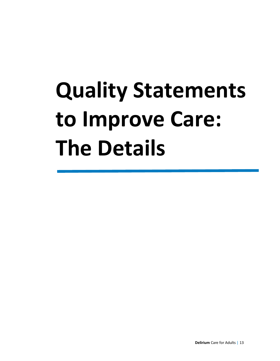## **Quality Statements to Improve Care: The Details**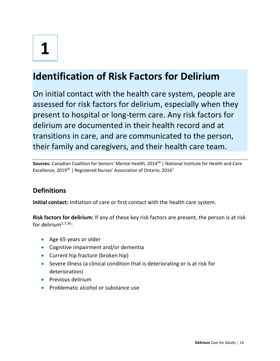## **Identification of Risk Factors for Delirium**

On initial contact with the health care system, people are assessed for risk factors for delirium, especially when they present to hospital or long-term care. Any risk factors for delirium are documented in their health record and at transitions in care, and are communicated to the person, their family and caregivers, and their health care team.

Sources: Canadian Coalition for Seniors' Mental Health, 2014<sup>28</sup> | National Institute for Health and Care Excellence, 2019<sup>30</sup> | Registered Nurses' Association of Ontario, 2016<sup>7</sup>

#### **Definitions**

**Initial contact:** Initiation of care or first contact with the health care system.

**Risk factors for delirium:** If any of these key risk factors are present, the person is at risk for delirium<sup>5,7,30</sup>:

- Age 65 years or older
- Cognitive impairment and/or dementia
- Current hip fracture (broken hip)
- Severe illness (a clinical condition that is deteriorating or is at risk for deterioration)
- **•** Previous delirium
- Problematic alcohol or substance use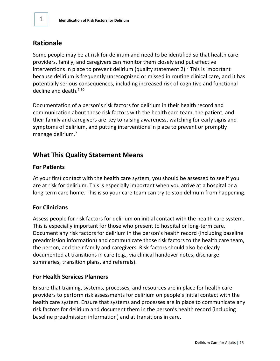#### **Rationale**

Some people may be at risk for delirium and need to be identified so that health care providers, family, and caregivers can monitor them closely and put effective interventions in place to prevent delirium (quality statement  $2$ ).<sup>7</sup> This is important because delirium is frequently unrecognized or missed in routine clinical care, and it has potentially serious consequences, including increased risk of cognitive and functional decline and death. 7,30

Documentation of a person's risk factors for delirium in their health record and communication about these risk factors with the health care team, the patient, and their family and caregivers are key to raising awareness, watching for early signs and symptoms of delirium, and putting interventions in place to prevent or promptly manage delirium.<sup>7</sup>

#### **What This Quality Statement Means**

#### **For Patients**

At your first contact with the health care system, you should be assessed to see if you are at risk for delirium. This is especially important when you arrive at a hospital or a long-term care home. This is so your care team can try to stop delirium from happening.

#### **For Clinicians**

Assess people for risk factors for delirium on initial contact with the health care system. This is especially important for those who present to hospital or long-term care. Document any risk factors for delirium in the person's health record (including baseline preadmission information) and communicate those risk factors to the health care team, the person, and their family and caregivers. Risk factors should also be clearly documented at transitions in care (e.g., via clinical handover notes, discharge summaries, transition plans, and referrals).

#### **For Health Services Planners**

Ensure that training, systems, processes, and resources are in place for health care providers to perform risk assessments for delirium on people's initial contact with the health care system. Ensure that systems and processes are in place to communicate any risk factors for delirium and document them in the person's health record (including baseline preadmission information) and at transitions in care.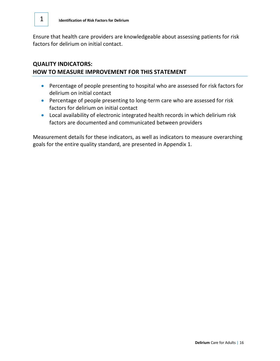Ensure that health care providers are knowledgeable about assessing patients for risk factors for delirium on initial contact.

#### **QUALITY INDICATORS: HOW TO MEASURE IMPROVEMENT FOR THIS STATEMENT**

- Percentage of people presenting to hospital who are assessed for risk factors for delirium on initial contact
- Percentage of people presenting to long-term care who are assessed for risk factors for delirium on initial contact
- Local availability of electronic integrated health records in which delirium risk factors are documented and communicated between providers

Measurement details for these indicators, as well as indicators to measure overarching goals for the entire quality standard, are presented in Appendix 1.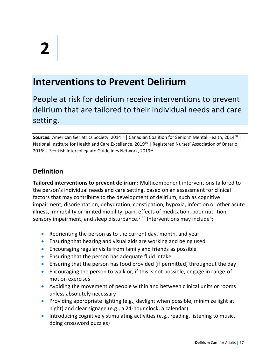### **Interventions to Prevent Delirium**

People at risk for delirium receive interventions to prevent delirium that are tailored to their individual needs and care setting.

Sources: American Geriatrics Society, 2014<sup>35</sup> | Canadian Coalition for Seniors' Mental Health, 2014<sup>28</sup> | National Institute for Health and Care Excellence, 2019<sup>30</sup> | Registered Nurses' Association of Ontario, 2016<sup>7</sup> | Scottish Intercollegiate Guidelines Network, 2019<sup>11</sup>

#### **Definition**

**Tailored interventions to prevent delirium:** Multicomponent interventions tailored to the person's individual needs and care setting, based on an assessment for clinical factors that may contribute to the development of delirium, such as cognitive impairment, disorientation, dehydration, constipation, hypoxia, infection or other acute illness, immobility or limited mobility, pain, effects of medication, poor nutrition, sensory impairment, and sleep disturbance.<sup>7,30</sup> Interventions may include<sup>6</sup>:

- Reorienting the person as to the current day, month, and year
- Ensuring that hearing and visual aids are working and being used
- Encouraging regular visits from family and friends as possible
- Ensuring that the person has adequate fluid intake
- Ensuring that the person has food provided (if permitted) throughout the day
- Encouraging the person to walk or, if this is not possible, engage in range-ofmotion exercises
- Avoiding the movement of people within and between clinical units or rooms unless absolutely necessary
- Providing appropriate lighting (e.g., daylight when possible, minimize light at night) and clear signage (e.g., a 24-hour clock, a calendar)
- Introducing cognitively stimulating activities (e.g., reading, listening to music, doing crossword puzzles)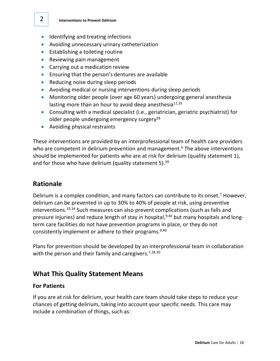- Identifying and treating infections
- Avoiding unnecessary urinary catheterization
- Establishing a toileting routine
- Reviewing pain management
- Carrying out a medication review
- Ensuring that the person's dentures are available
- Reducing noise during sleep periods
- Avoiding medical or nursing interventions during sleep periods
- Monitoring older people (over age 60 years) undergoing general anesthesia lasting more than an hour to avoid deep anesthesia $11,35$
- Consulting with a medical specialist (i.e., geriatrician, geriatric psychiatrist) for older people undergoing emergency surgery<sup>28</sup>
- Avoiding physical restraints

These interventions are provided by an interprofessional team of health care providers who are competent in delirium prevention and management.<sup>6</sup> The above interventions should be implemented for patients who are at risk for delirium (quality statement 1), and for those who have delirium (quality statement 5).<sup>39</sup>

#### **Rationale**

Delirium is a complex condition, and many factors can contribute to its onset.<sup>7</sup> However, delirium can be prevented in up to 30% to 40% of people at risk, using preventive interventions. 33,34 Such measures can also prevent complications (such as falls and pressure injuries) and reduce length of stay in hospital,<sup>9,40</sup> but many hospitals and longterm care facilities do not have prevention programs in place, or they do not consistently implement or adhere to their programs.<sup>9,40</sup>

Plans for prevention should be developed by an interprofessional team in collaboration with the person and their family and caregivers.<sup>7,28,30</sup>

#### **What This Quality Statement Means**

#### **For Patients**

If you are at risk for delirium, your health care team should take steps to reduce your chances of getting delirium, taking into account your specific needs. This care may include a combination of things, such as: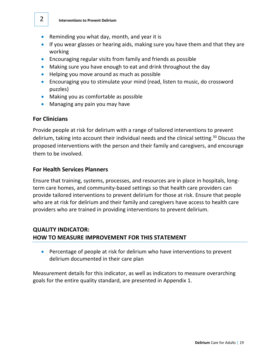- Reminding you what day, month, and year it is
- If you wear glasses or hearing aids, making sure you have them and that they are working
- Encouraging regular visits from family and friends as possible
- Making sure you have enough to eat and drink throughout the day
- Helping you move around as much as possible
- Encouraging you to stimulate your mind (read, listen to music, do crossword puzzles)
- Making you as comfortable as possible
- Managing any pain you may have

#### **For Clinicians**

Provide people at risk for delirium with a range of tailored interventions to prevent delirium, taking into account their individual needs and the clinical setting.<sup>30</sup> Discuss the proposed interventions with the person and their family and caregivers, and encourage them to be involved.

#### **For Health Services Planners**

Ensure that training, systems, processes, and resources are in place in hospitals, longterm care homes, and community-based settings so that health care providers can provide tailored interventions to prevent delirium for those at risk. Ensure that people who are at risk for delirium and their family and caregivers have access to health care providers who are trained in providing interventions to prevent delirium.

#### **QUALITY INDICATOR: HOW TO MEASURE IMPROVEMENT FOR THIS STATEMENT**

• Percentage of people at risk for delirium who have interventions to prevent delirium documented in their care plan

Measurement details for this indicator, as well as indicators to measure overarching goals for the entire quality standard, are presented in Appendix 1.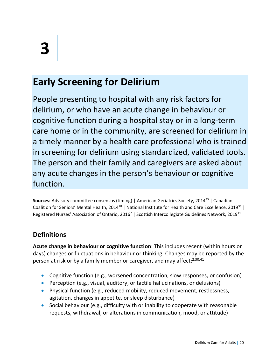## **Early Screening for Delirium**

People presenting to hospital with any risk factors for delirium, or who have an acute change in behaviour or cognitive function during a hospital stay or in a long-term care home or in the community, are screened for delirium in a timely manner by a health care professional who is trained in screening for delirium using standardized, validated tools. The person and their family and caregivers are asked about any acute changes in the person's behaviour or cognitive function.

**Sources:** Advisory committee consensus (timing) | American Geriatrics Society, 2014<sup>35</sup> | Canadian Coalition for Seniors' Mental Health, 2014<sup>28</sup> | National Institute for Health and Care Excellence, 2019<sup>30</sup> | Registered Nurses' Association of Ontario, 2016<sup>7</sup> | Scottish Intercollegiate Guidelines Network, 2019<sup>11</sup>

#### **Definitions**

**Acute change in behaviour or cognitive function**: This includes recent (within hours or days) changes or fluctuations in behaviour or thinking. Changes may be reported by the person at risk or by a family member or caregiver, and may affect: $2,30,41$ 

- Cognitive function (e.g., worsened concentration, slow responses, or confusion)
- Perception (e.g., visual, auditory, or tactile hallucinations, or delusions)
- Physical function (e.g., reduced mobility, reduced movement, restlessness, agitation, changes in appetite, or sleep disturbance)
- Social behaviour (e.g., difficulty with or inability to cooperate with reasonable requests, withdrawal, or alterations in communication, mood, or attitude)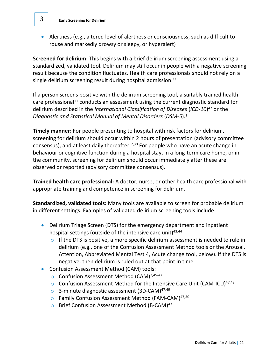• Alertness (e.g., altered level of alertness or consciousness, such as difficult to rouse and markedly drowsy or sleepy, or hyperalert)

**Screened for delirium:** This begins with a brief delirium screening assessment using a standardized, validated tool. Delirium may still occur in people with a negative screening result because the condition fluctuates. Health care professionals should not rely on a single delirium screening result during hospital admission.<sup>11</sup>

If a person screens positive with the delirium screening tool, a suitably trained health care professional<sup>11</sup> conducts an assessment using the current diagnostic standard for delirium described in the *International Classification of Diseases* (*ICD-10*) <sup>42</sup> or the *Diagnostic and Statistical Manual of Mental Disorders* (*DSM-5*). 1

**Timely manner:** For people presenting to hospital with risk factors for delirium, screening for delirium should occur within 2 hours of presentation (advisory committee consensus), and at least daily thereafter.<sup>7,30</sup> For people who have an acute change in behaviour or cognitive function during a hospital stay, in a long-term care home, or in the community, screening for delirium should occur immediately after these are observed or reported (advisory committee consensus).

**Trained health care professional:** A doctor, nurse, or other health care professional with appropriate training and competence in screening for delirium.

**Standardized, validated tools:** Many tools are available to screen for probable delirium in different settings. Examples of validated delirium screening tools include:

- Delirium Triage Screen (DTS) for the emergency department and inpatient hospital settings (outside of the intensive care unit) $43,44$ 
	- $\circ$  If the DTS is positive, a more specific delirium assessment is needed to rule in delirium (e.g., one of the Confusion Assessment Method tools or the Arousal, Attention, Abbreviated Mental Test 4, Acute change tool, below). If the DTS is negative, then delirium is ruled out at that point in time
- Confusion Assessment Method (CAM) tools:
	- o Confusion Assessment Method (CAM)2,45-47
	- $\circ$  Confusion Assessment Method for the Intensive Care Unit (CAM-ICU)<sup>47,48</sup>
	- 3-minute diagnostic assessment (3D-CAM)<sup>47,49</sup>
	- o Family Confusion Assessment Method (FAM-CAM)<sup>47,50</sup>
	- O Brief Confusion Assessment Method (B-CAM)<sup>43</sup>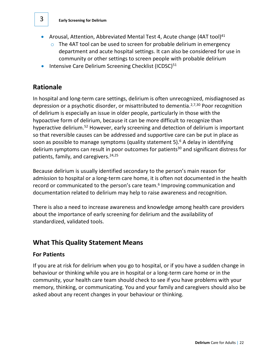- Arousal, Attention, Abbreviated Mental Test 4, Acute change (4AT tool)<sup>41</sup>
	- $\circ$  The 4AT tool can be used to screen for probable delirium in emergency department and acute hospital settings. It can also be considered for use in community or other settings to screen people with probable delirium
- Intensive Care Delirium Screening Checklist (ICDSC)<sup>51</sup>

#### **Rationale**

In hospital and long-term care settings, delirium is often unrecognized, misdiagnosed as depression or a psychotic disorder, or misattributed to dementia.<sup>2,7,30</sup> Poor recognition of delirium is especially an issue in older people, particularly in those with the hypoactive form of delirium, because it can be more difficult to recognize than hyperactive delirium.<sup>52</sup> However, early screening and detection of delirium is important so that reversible causes can be addressed and supportive care can be put in place as soon as possible to manage symptoms (quality statement 5).<sup>6</sup> A delay in identifying delirium symptoms can result in poor outcomes for patients<sup>30</sup> and significant distress for patients, family, and caregivers. 24,25

Because delirium is usually identified secondary to the person's main reason for admission to hospital or a long-term care home, it is often not documented in the health record or communicated to the person's care team.<sup>6</sup> Improving communication and documentation related to delirium may help to raise awareness and recognition.

There is also a need to increase awareness and knowledge among health care providers about the importance of early screening for delirium and the availability of standardized, validated tools.

#### **What This Quality Statement Means**

#### **For Patients**

If you are at risk for delirium when you go to hospital, or if you have a sudden change in behaviour or thinking while you are in hospital or a long-term care home or in the community, your health care team should check to see if you have problems with your memory, thinking, or communicating. You and your family and caregivers should also be asked about any recent changes in your behaviour or thinking.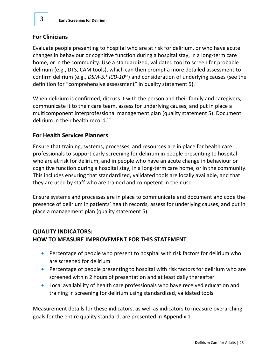#### **For Clinicians**

Evaluate people presenting to hospital who are at risk for delirium, or who have acute changes in behaviour or cognitive function during a hospital stay, in a long-term care home, or in the community. Use a standardized, validated tool to screen for probable delirium (e.g., DTS, CAM tools), which can then prompt a more detailed assessment to confirm delirium (e.g., *DSM-5,<sup>1</sup> ICD-10<sup>42</sup>*) and consideration of underlying causes (see the definition for "comprehensive assessment" in quality statement 5). $^{11}$ 

When delirium is confirmed, discuss it with the person and their family and caregivers, communicate it to their care team, assess for underlying causes, and put in place a multicomponent interprofessional management plan (quality statement 5). Document delirium in their health record.<sup>11</sup>

#### **For Health Services Planners**

Ensure that training, systems, processes, and resources are in place for health care professionals to support early screening for delirium in people presenting to hospital who are at risk for delirium, and in people who have an acute change in behaviour or cognitive function during a hospital stay, in a long-term care home, or in the community. This includes ensuring that standardized, validated tools are locally available, and that they are used by staff who are trained and competent in their use.

Ensure systems and processes are in place to communicate and document and code the presence of delirium in patients' health records, assess for underlying causes, and put in place a management plan (quality statement 5).

#### **QUALITY INDICATORS: HOW TO MEASURE IMPROVEMENT FOR THIS STATEMENT**

- Percentage of people who present to hospital with risk factors for delirium who are screened for delirium
- Percentage of people presenting to hospital with risk factors for delirium who are screened within 2 hours of presentation and at least daily thereafter
- Local availability of health care professionals who have received education and training in screening for delirium using standardized, validated tools

Measurement details for these indicators, as well as indicators to measure overarching goals for the entire quality standard, are presented in Appendix 1.

3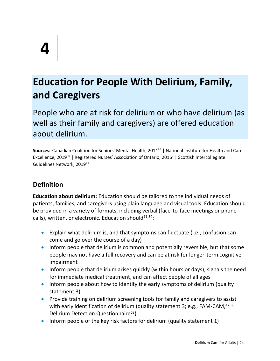## **Education for People With Delirium, Family, and Caregivers**

People who are at risk for delirium or who have delirium (as well as their family and caregivers) are offered education about delirium.

Sources: Canadian Coalition for Seniors' Mental Health, 2014<sup>28</sup> | National Institute for Health and Care Excellence, 2019<sup>30</sup> | Registered Nurses' Association of Ontario, 2016<sup>7</sup> | Scottish Intercollegiate Guidelines Network, 2019<sup>11</sup>

#### **Definition**

**Education about delirium:** Education should be tailored to the individual needs of patients, families, and caregivers using plain language and visual tools. Education should be provided in a variety of formats, including verbal (face-to-face meetings or phone calls), written, or electronic. Education should $11,30$ :

- Explain what delirium is, and that symptoms can fluctuate (i.e., confusion can come and go over the course of a day)
- Inform people that delirium is common and potentially reversible, but that some people may not have a full recovery and can be at risk for longer-term cognitive impairment
- Inform people that delirium arises quickly (within hours or days), signals the need for immediate medical treatment, and can affect people of all ages
- Inform people about how to identify the early symptoms of delirium (quality statement 3)
- Provide training on delirium screening tools for family and caregivers to assist with early identification of delirium (quality statement 3; e.g., FAM-CAM,<sup>47,50</sup> Delirium Detection Questionnaire<sup>53</sup>)
- Inform people of the key risk factors for delirium (quality statement 1)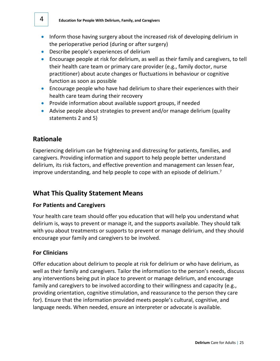- Inform those having surgery about the increased risk of developing delirium in the perioperative period (during or after surgery)
- Describe people's experiences of delirium
- Encourage people at risk for delirium, as well as their family and caregivers, to tell their health care team or primary care provider (e.g., family doctor, nurse practitioner) about acute changes or fluctuations in behaviour or cognitive function as soon as possible
- Encourage people who have had delirium to share their experiences with their health care team during their recovery
- Provide information about available support groups, if needed
- Advise people about strategies to prevent and/or manage delirium (quality statements 2 and 5)

#### **Rationale**

Experiencing delirium can be frightening and distressing for patients, families, and caregivers. Providing information and support to help people better understand delirium, its risk factors, and effective prevention and management can lessen fear, improve understanding, and help people to cope with an episode of delirium.<sup>7</sup>

#### **What This Quality Statement Means**

#### **For Patients and Caregivers**

Your health care team should offer you education that will help you understand what delirium is, ways to prevent or manage it, and the supports available. They should talk with you about treatments or supports to prevent or manage delirium, and they should encourage your family and caregivers to be involved.

#### **For Clinicians**

Offer education about delirium to people at risk for delirium or who have delirium, as well as their family and caregivers. Tailor the information to the person's needs, discuss any interventions being put in place to prevent or manage delirium, and encourage family and caregivers to be involved according to their willingness and capacity (e.g., providing orientation, cognitive stimulation, and reassurance to the person they care for). Ensure that the information provided meets people's cultural, cognitive, and language needs. When needed, ensure an interpreter or advocate is available.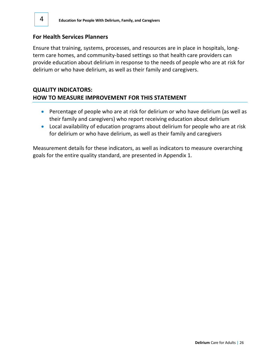#### **For Health Services Planners**

Ensure that training, systems, processes, and resources are in place in hospitals, longterm care homes, and community-based settings so that health care providers can provide education about delirium in response to the needs of people who are at risk for delirium or who have delirium, as well as their family and caregivers.

#### **QUALITY INDICATORS: HOW TO MEASURE IMPROVEMENT FOR THIS STATEMENT**

- Percentage of people who are at risk for delirium or who have delirium (as well as their family and caregivers) who report receiving education about delirium
- Local availability of education programs about delirium for people who are at risk for delirium or who have delirium, as well as their family and caregivers

Measurement details for these indicators, as well as indicators to measure overarching goals for the entire quality standard, are presented in Appendix 1.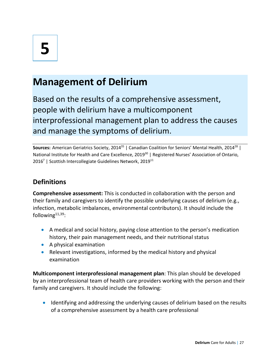## **Management of Delirium**

Based on the results of a comprehensive assessment, people with delirium have a multicomponent interprofessional management plan to address the causes and manage the symptoms of delirium.

**Sources:** American Geriatrics Society, 2014<sup>35</sup> | Canadian Coalition for Seniors' Mental Health, 2014<sup>28</sup> | National Institute for Health and Care Excellence, 2019<sup>30</sup> | Registered Nurses' Association of Ontario, 2016<sup>7</sup> | Scottish Intercollegiate Guidelines Network, 2019<sup>11</sup>

#### **Definitions**

**Comprehensive assessment:** This is conducted in collaboration with the person and their family and caregivers to identify the possible underlying causes of delirium (e.g., infection, metabolic imbalances, environmental contributors). It should include the following $11,39$ :

- A medical and social history, paying close attention to the person's medication history, their pain management needs, and their nutritional status
- A physical examination
- Relevant investigations, informed by the medical history and physical examination

**Multicomponent interprofessional management plan**: This plan should be developed by an interprofessional team of health care providers working with the person and their family and caregivers. It should include the following:

• Identifying and addressing the underlying causes of delirium based on the results of a comprehensive assessment by a health care professional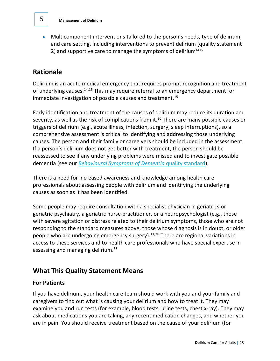• Multicomponent interventions tailored to the person's needs, type of delirium, and care setting, including interventions to prevent delirium (quality statement 2) and supportive care to manage the symptoms of delirium<sup>14,15</sup>

#### **Rationale**

Delirium is an acute medical emergency that requires prompt recognition and treatment of underlying causes.<sup>14,15</sup> This may require referral to an emergency department for immediate investigation of possible causes and treatment.<sup>15</sup>

Early identification and treatment of the causes of delirium may reduce its duration and severity, as well as the risk of complications from it.<sup>30</sup> There are many possible causes or triggers of delirium (e.g., acute illness, infection, surgery, sleep interruptions), so a comprehensive assessment is critical to identifying and addressing those underlying causes. The person and their family or caregivers should be included in the assessment. If a person's delirium does not get better with treatment, the person should be reassessed to see if any underlying problems were missed and to investigate possible dementia (see our *[Behavioural Symptoms of Dementia](https://www.hqontario.ca/evidence-to-improve-care/quality-standards/view-all-quality-standards/behavioural-symptoms-of-dementia)* quality standard).

There is a need for increased awareness and knowledge among health care professionals about assessing people with delirium and identifying the underlying causes as soon as it has been identified.

Some people may require consultation with a specialist physician in geriatrics or geriatric psychiatry, a geriatric nurse practitioner, or a neuropsychologist (e.g., those with severe agitation or distress related to their delirium symptoms, those who are not responding to the standard measures above, those whose diagnosis is in doubt, or older people who are undergoing emergency surgery). 11,28 There are regional variations in access to these services and to health care professionals who have special expertise in assessing and managing delirium.<sup>38</sup>

#### **What This Quality Statement Means**

#### **For Patients**

If you have delirium, your health care team should work with you and your family and caregivers to find out what is causing your delirium and how to treat it. They may examine you and run tests (for example, blood tests, urine tests, chest x-ray). They may ask about medications you are taking, any recent medication changes, and whether you are in pain. You should receive treatment based on the cause of your delirium (for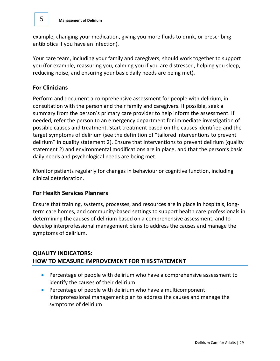example, changing your medication, giving you more fluids to drink, or prescribing antibiotics if you have an infection).

Your care team, including your family and caregivers, should work together to support you (for example, reassuring you, calming you if you are distressed, helping you sleep, reducing noise, and ensuring your basic daily needs are being met).

#### **For Clinicians**

Perform and document a comprehensive assessment for people with delirium, in consultation with the person and their family and caregivers. If possible, seek a summary from the person's primary care provider to help inform the assessment. If needed, refer the person to an emergency department for immediate investigation of possible causes and treatment. Start treatment based on the causes identified and the target symptoms of delirium (see the definition of "tailored interventions to prevent delirium" in quality statement 2). Ensure that interventions to prevent delirium (quality statement 2) and environmental modifications are in place, and that the person's basic daily needs and psychological needs are being met.

Monitor patients regularly for changes in behaviour or cognitive function, including clinical deterioration.

#### **For Health Services Planners**

Ensure that training, systems, processes, and resources are in place in hospitals, longterm care homes, and community-based settings to support health care professionals in determining the causes of delirium based on a comprehensive assessment, and to develop interprofessional management plans to address the causes and manage the symptoms of delirium.

#### **QUALITY INDICATORS: HOW TO MEASURE IMPROVEMENT FOR THISSTATEMENT**

- Percentage of people with delirium who have a comprehensive assessment to identify the causes of their delirium
- Percentage of people with delirium who have a multicomponent interprofessional management plan to address the causes and manage the symptoms of delirium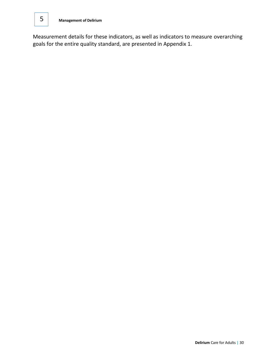Measurement details for these indicators, as well as indicators to measure overarching goals for the entire quality standard, are presented in Appendix 1.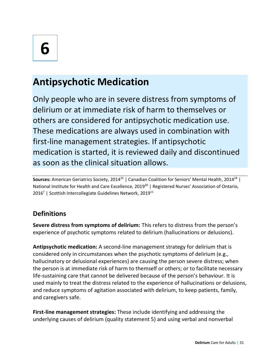## **Antipsychotic Medication**

Only people who are in severe distress from symptoms of delirium or at immediate risk of harm to themselves or others are considered for antipsychotic medication use. These medications are always used in combination with first-line management strategies. If antipsychotic medication is started, it is reviewed daily and discontinued as soon as the clinical situation allows.

**Sources:** American Geriatrics Society, 2014<sup>35</sup> | Canadian Coalition for Seniors' Mental Health, 2014<sup>28</sup> | National Institute for Health and Care Excellence, 2019<sup>30</sup> | Registered Nurses' Association of Ontario, 2016<sup>7</sup> | Scottish Intercollegiate Guidelines Network, 2019<sup>11</sup>

#### **Definitions**

**Severe distress from symptoms of delirium:** This refers to distress from the person's experience of psychotic symptoms related to delirium (hallucinations or delusions).

**Antipsychotic medication:** A second-line management strategy for delirium that is considered only in circumstances when the psychotic symptoms of delirium (e.g., hallucinatory or delusional experiences) are causing the person severe distress; when the person is at immediate risk of harm to themself or others; or to facilitate necessary life-sustaining care that cannot be delivered because of the person's behaviour. It is used mainly to treat the distress related to the experience of hallucinations or delusions, and reduce symptoms of agitation associated with delirium, to keep patients, family, and caregivers safe.

**First-line management strategies:** These include identifying and addressing the underlying causes of delirium (quality statement 5) and using verbal and nonverbal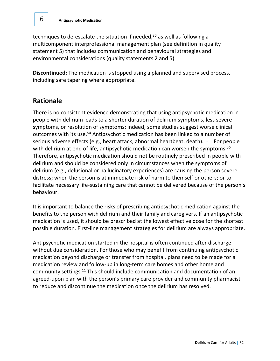techniques to de-escalate the situation if needed, <sup>30</sup> as well as following a multicomponent interprofessional management plan (see definition in quality statement 5) that includes communication and behavioural strategies and environmental considerations (quality statements 2 and 5).

**Discontinued:** The medication is stopped using a planned and supervised process, including safe tapering where appropriate.

#### **Rationale**

There is no consistent evidence demonstrating that using antipsychotic medication in people with delirium leads to a shorter duration of delirium symptoms, less severe symptoms, or resolution of symptoms; indeed, some studies suggest worse clinical outcomes with its use. <sup>54</sup> Antipsychotic medication has been linked to a number of serious adverse effects (e.g., heart attack, abnormal heartbeat, death).<sup>30,55</sup> For people with delirium at end of life, antipsychotic medication can worsen the symptoms.<sup>56</sup> Therefore, antipsychotic medication should not be routinely prescribed in people with delirium and should be considered only in circumstances when the symptoms of delirium (e.g., delusional or hallucinatory experiences) are causing the person severe distress; when the person is at immediate risk of harm to themself or others; or to facilitate necessary life-sustaining care that cannot be delivered because of the person's behaviour.

It is important to balance the risks of prescribing antipsychotic medication against the benefits to the person with delirium and their family and caregivers. If an antipsychotic medication is used, it should be prescribed at the lowest effective dose for the shortest possible duration. First-line management strategies for delirium are always appropriate.

Antipsychotic medication started in the hospital is often continued after discharge without due consideration. For those who may benefit from continuing antipsychotic medication beyond discharge or transfer from hospital, plans need to be made for a medication review and follow-up in long-term care homes and other home and community settings.<sup>11</sup> This should include communication and documentation of an agreed-upon plan with the person's primary care provider and community pharmacist to reduce and discontinue the medication once the delirium has resolved.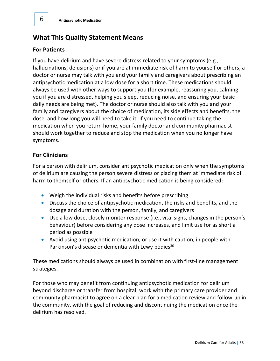#### **What This Quality Statement Means**

#### **For Patients**

If you have delirium and have severe distress related to your symptoms (e.g., hallucinations, delusions) or if you are at immediate risk of harm to yourself or others, a doctor or nurse may talk with you and your family and caregivers about prescribing an antipsychotic medication at a low dose for a short time. These medications should always be used with other ways to support you (for example, reassuring you, calming you if you are distressed, helping you sleep, reducing noise, and ensuring your basic daily needs are being met). The doctor or nurse should also talk with you and your family and caregivers about the choice of medication, its side effects and benefits, the dose, and how long you will need to take it. If you need to continue taking the medication when you return home, your family doctor and community pharmacist should work together to reduce and stop the medication when you no longer have symptoms.

#### **For Clinicians**

For a person with delirium, consider antipsychotic medication only when the symptoms of delirium are causing the person severe distress or placing them at immediate risk of harm to themself or others. If an antipsychotic medication is being considered:

- Weigh the individual risks and benefits before prescribing
- Discuss the choice of antipsychotic medication, the risks and benefits, and the dosage and duration with the person, family, and caregivers
- Use a low dose, closely monitor response (i.e., vital signs, changes in the person's behaviour) before considering any dose increases, and limit use for as short a period as possible
- Avoid using antipsychotic medication, or use it with caution, in people with Parkinson's disease or dementia with Lewy bodies<sup>30</sup>

These medications should always be used in combination with first-line management strategies.

For those who may benefit from continuing antipsychotic medication for delirium beyond discharge or transfer from hospital, work with the primary care provider and community pharmacist to agree on a clear plan for a medication review and follow-up in the community, with the goal of reducing and discontinuing the medication once the delirium has resolved.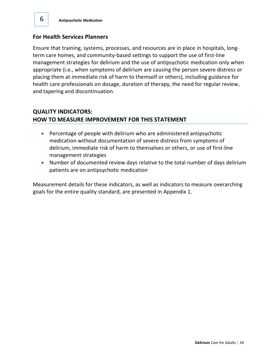#### **For Health Services Planners**

6

Ensure that training, systems, processes, and resources are in place in hospitals, longterm care homes, and community-based settings to support the use of first-line management strategies for delirium and the use of antipsychotic medication only when appropriate (i.e., when symptoms of delirium are causing the person severe distress or placing them at immediate risk of harm to themself or others), including guidance for health care professionals on dosage, duration of therapy, the need for regular review, and tapering and discontinuation.

#### **QUALITY INDICATORS: HOW TO MEASURE IMPROVEMENT FOR THIS STATEMENT**

- Percentage of people with delirium who are administered antipsychotic medication without documentation of severe distress from symptoms of delirium, immediate risk of harm to themselves or others, or use of first-line management strategies
- Number of documented review days relative to the total number of days delirium patients are on antipsychotic medication

Measurement details for these indicators, as well as indicators to measure overarching goals for the entire quality standard, are presented in Appendix 1.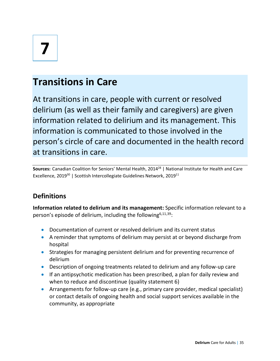# **7**

## **Transitions in Care**

At transitions in care, people with current or resolved delirium (as well as their family and caregivers) are given information related to delirium and its management. This information is communicated to those involved in the person's circle of care and documented in the health record at transitions in care.

Sources: Canadian Coalition for Seniors' Mental Health, 2014<sup>28</sup> | National Institute for Health and Care Excellence, 2019<sup>30</sup> | Scottish Intercollegiate Guidelines Network, 2019<sup>11</sup>

#### **Definitions**

**Information related to delirium and its management:** Specific information relevant to a person's episode of delirium, including the following<sup>6,11,39</sup>:

- Documentation of current or resolved delirium and its current status
- A reminder that symptoms of delirium may persist at or beyond discharge from hospital
- Strategies for managing persistent delirium and for preventing recurrence of delirium
- Description of ongoing treatments related to delirium and any follow-up care
- If an antipsychotic medication has been prescribed, a plan for daily review and when to reduce and discontinue (quality statement 6)
- Arrangements for follow-up care (e.g., primary care provider, medical specialist) or contact details of ongoing health and social support services available in the community, as appropriate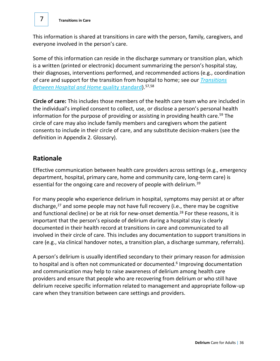This information is shared at transitions in care with the person, family, caregivers, and everyone involved in the person's care.

Some of this information can reside in the discharge summary or transition plan, which is a written (printed or electronic) document summarizing the person's hospital stay, their diagnoses, interventions performed, and recommended actions (e.g., coordination of care and support for the transition from hospital to home; see our *[Transitions](https://www.hqontario.ca/evidence-to-improve-care/quality-standards/view-all-quality-standards/transitions-between-hospital-and-home)  [Between Hospital and Home](https://www.hqontario.ca/evidence-to-improve-care/quality-standards/view-all-quality-standards/transitions-between-hospital-and-home)* quality standard).57,58

**Circle of care:** This includes those members of the health care team who are included in the individual's implied consent to collect, use, or disclose a person's personal health information for the purpose of providing or assisting in providing health care.<sup>59</sup> The circle of care may also include family members and caregivers whom the patient consents to include in their circle of care, and any substitute decision-makers (see the definition in Appendix 2. Glossary).

#### **Rationale**

Effective communication between health care providers across settings (e.g., emergency department, hospital, primary care, home and community care, long-term care) is essential for the ongoing care and recovery of people with delirium.<sup>39</sup>

For many people who experience delirium in hospital, symptoms may persist at or after discharge,<sup>27</sup> and some people may not have full recovery (i.e., there may be cognitive and functional decline) or be at risk for new-onset dementia.<sup>28</sup> For these reasons, it is important that the person's episode of delirium during a hospital stay is clearly documented in their health record at transitions in care and communicated to all involved in their circle of care. This includes any documentation to support transitions in care (e.g., via clinical handover notes, a transition plan, a discharge summary, referrals).

A person's delirium is usually identified secondary to their primary reason for admission to hospital and is often not communicated or documented.<sup>6</sup> Improving documentation and communication may help to raise awareness of delirium among health care providers and ensure that people who are recovering from delirium or who still have delirium receive specific information related to management and appropriate follow-up care when they transition between care settings and providers.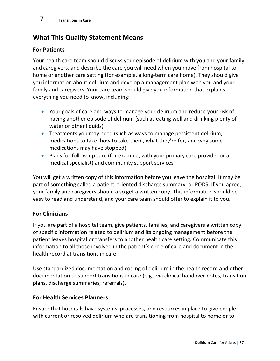#### **What This Quality Statement Means**

#### **For Patients**

Your health care team should discuss your episode of delirium with you and your family and caregivers, and describe the care you will need when you move from hospital to home or another care setting (for example, a long-term care home). They should give you information about delirium and develop a management plan with you and your family and caregivers. Your care team should give you information that explains everything you need to know, including:

- Your goals of care and ways to manage your delirium and reduce your risk of having another episode of delirium (such as eating well and drinking plenty of water or other liquids)
- Treatments you may need (such as ways to manage persistent delirium, medications to take, how to take them, what they're for, and why some medications may have stopped)
- Plans for follow-up care (for example, with your primary care provider or a medical specialist) and community support services

You will get a written copy of this information before you leave the hospital. It may be part of something called a patient-oriented discharge summary, or PODS. If you agree, your family and caregivers should also get a written copy. This information should be easy to read and understand, and your care team should offer to explain it to you.

#### **For Clinicians**

If you are part of a hospital team, give patients, families, and caregivers a written copy of specific information related to delirium and its ongoing management before the patient leaves hospital or transfers to another health care setting. Communicate this information to all those involved in the patient's circle of care and document in the health record at transitions in care.

Use standardized documentation and coding of delirium in the health record and other documentation to support transitions in care (e.g., via clinical handover notes, transition plans, discharge summaries, referrals).

#### **For Health Services Planners**

Ensure that hospitals have systems, processes, and resources in place to give people with current or resolved delirium who are transitioning from hospital to home or to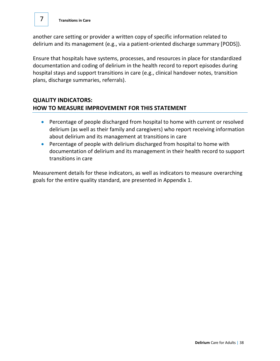7

another care setting or provider a written copy of specific information related to delirium and its management (e.g., via a patient-oriented discharge summary [PODS]).

Ensure that hospitals have systems, processes, and resources in place for standardized documentation and coding of delirium in the health record to report episodes during hospital stays and support transitions in care (e.g., clinical handover notes, transition plans, discharge summaries, referrals).

#### **QUALITY INDICATORS: HOW TO MEASURE IMPROVEMENT FOR THIS STATEMENT**

- Percentage of people discharged from hospital to home with current or resolved delirium (as well as their family and caregivers) who report receiving information about delirium and its management at transitions in care
- Percentage of people with delirium discharged from hospital to home with documentation of delirium and its management in their health record to support transitions in care

Measurement details for these indicators, as well as indicators to measure overarching goals for the entire quality standard, are presented in Appendix 1.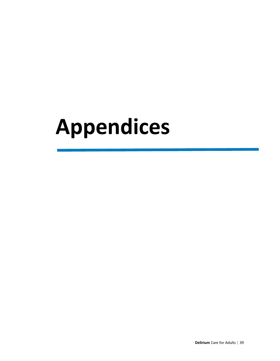## **Appendices**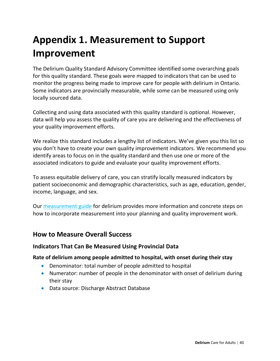## **Appendix 1. Measurement to Support Improvement**

The Delirium Quality Standard Advisory Committee identified some overarching goals for this quality standard. These goals were mapped to indicators that can be used to monitor the progress being made to improve care for people with delirium in Ontario. Some indicators are provincially measurable, while some can be measured using only locally sourced data.

Collecting and using data associated with this quality standard is optional. However, data will help you assess the quality of care you are delivering and the effectiveness of your quality improvement efforts.

We realize this standard includes a lengthy list of indicators. We've given you this list so you don't have to create your own quality improvement indicators. We recommend you identify areas to focus on in the quality standard and then use one or more of the associated indicators to guide and evaluate your quality improvement efforts.

To assess equitable delivery of care, you can stratify locally measured indicators by patient socioeconomic and demographic characteristics, such as age, education, gender, income, language, and sex.

Our [measurement guide](https://www.hqontario.ca/evidence-to-improve-care/quality-standards/view-all-quality-standards/delirium) for delirium provides more information and concrete steps on how to incorporate measurement into your planning and quality improvement work.

#### **How to Measure Overall Success**

#### **Indicators That Can Be Measured Using Provincial Data**

#### **Rate of delirium among people admitted to hospital, with onset during their stay**

- Denominator: total number of people admitted to hospital
- Numerator: number of people in the denominator with onset of delirium during their stay
- Data source: Discharge Abstract Database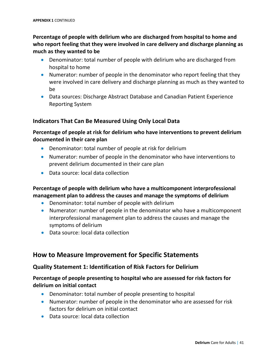**Percentage of people with delirium who are discharged from hospital to home and who report feeling that they were involved in care delivery and discharge planning as much as they wanted to be**

- Denominator: total number of people with delirium who are discharged from hospital to home
- Numerator: number of people in the denominator who report feeling that they were involved in care delivery and discharge planning as much as they wanted to be
- Data sources: Discharge Abstract Database and Canadian Patient Experience Reporting System

#### **Indicators That Can Be Measured Using Only Local Data**

#### **Percentage of people at risk for delirium who have interventions to prevent delirium documented in their care plan**

- Denominator: total number of people at risk for delirium
- Numerator: number of people in the denominator who have interventions to prevent delirium documented in their care plan
- Data source: local data collection

#### **Percentage of people with delirium who have a multicomponent interprofessional management plan to address the causes and manage the symptoms of delirium**

- Denominator: total number of people with delirium
- Numerator: number of people in the denominator who have a multicomponent interprofessional management plan to address the causes and manage the symptoms of delirium
- Data source: local data collection

#### **How to Measure Improvement for Specific Statements**

#### **Quality Statement 1: Identification of Risk Factors for Delirium**

#### **Percentage of people presenting to hospital who are assessed for risk factors for delirium on initial contact**

- Denominator: total number of people presenting to hospital
- Numerator: number of people in the denominator who are assessed for risk factors for delirium on initial contact
- Data source: local data collection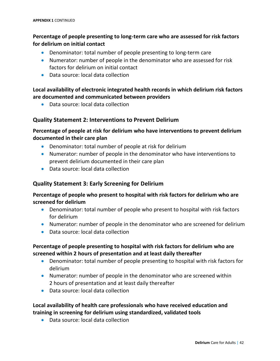#### **Percentage of people presenting to long-term care who are assessed for risk factors for delirium on initial contact**

- Denominator: total number of people presenting to long-term care
- Numerator: number of people in the denominator who are assessed for risk factors for delirium on initial contact
- Data source: local data collection

#### **Local availability of electronic integrated health records in which delirium risk factors are documented and communicated between providers**

• Data source: local data collection

#### **Quality Statement 2: Interventions to Prevent Delirium**

#### **Percentage of people at risk for delirium who have interventions to prevent delirium documented in their care plan**

- Denominator: total number of people at risk for delirium
- Numerator: number of people in the denominator who have interventions to prevent delirium documented in their care plan
- Data source: local data collection

#### **Quality Statement 3: Early Screening for Delirium**

#### **Percentage of people who present to hospital with risk factors for delirium who are screened for delirium**

- Denominator: total number of people who present to hospital with risk factors for delirium
- Numerator: number of people in the denominator who are screened for delirium
- Data source: local data collection

#### **Percentage of people presenting to hospital with risk factors for delirium who are screened within 2 hours of presentation and at least daily thereafter**

- Denominator: total number of people presenting to hospital with risk factors for delirium
- Numerator: number of people in the denominator who are screened within 2 hours of presentation and at least daily thereafter
- Data source: local data collection

#### **Local availability of health care professionals who have received education and training in screening for delirium using standardized, validated tools**

• Data source: local data collection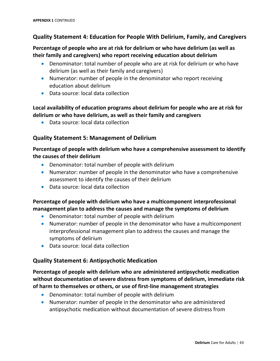#### **Quality Statement 4: Education for People With Delirium, Family, and Caregivers**

#### **Percentage of people who are at risk for delirium or who have delirium (as well as their family and caregivers) who report receiving education about delirium**

- Denominator: total number of people who are at risk for delirium or who have delirium (as well as their family and caregivers)
- Numerator: number of people in the denominator who report receiving education about delirium
- Data source: local data collection

#### **Local availability of education programs about delirium for people who are at risk for delirium or who have delirium, as well as their family and caregivers**

• Data source: local data collection

#### **Quality Statement 5: Management of Delirium**

#### **Percentage of people with delirium who have a comprehensive assessment to identify the causes of their delirium**

- Denominator: total number of people with delirium
- Numerator: number of people in the denominator who have a comprehensive assessment to identify the causes of their delirium
- Data source: local data collection

#### **Percentage of people with delirium who have a multicomponent interprofessional management plan to address the causes and manage the symptoms of delirium**

- Denominator: total number of people with delirium
- Numerator: number of people in the denominator who have a multicomponent interprofessional management plan to address the causes and manage the symptoms of delirium
- Data source: local data collection

#### **Quality Statement 6: Antipsychotic Medication**

#### **Percentage of people with delirium who are administered antipsychotic medication without documentation of severe distress from symptoms of delirium, immediate risk of harm to themselves or others, or use of first-line management strategies**

- Denominator: total number of people with delirium
- Numerator: number of people in the denominator who are administered antipsychotic medication without documentation of severe distress from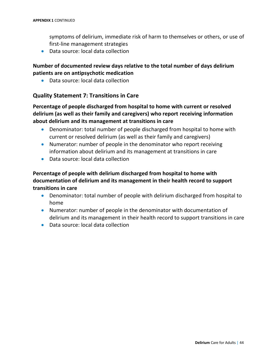symptoms of delirium, immediate risk of harm to themselves or others, or use of first-line management strategies

• Data source: local data collection

#### **Number of documented review days relative to the total number of days delirium patients are on antipsychotic medication**

• Data source: local data collection

#### **Quality Statement 7: Transitions in Care**

**Percentage of people discharged from hospital to home with current or resolved delirium (as well as their family and caregivers) who report receiving information about delirium and its management at transitions in care** 

- Denominator: total number of people discharged from hospital to home with current or resolved delirium (as well as their family and caregivers)
- Numerator: number of people in the denominator who report receiving information about delirium and its management at transitions in care
- Data source: local data collection

#### **Percentage of people with delirium discharged from hospital to home with documentation of delirium and its management in their health record to support transitions in care**

- Denominator: total number of people with delirium discharged from hospital to home
- Numerator: number of people in the denominator with documentation of delirium and its management in their health record to support transitions in care
- Data source: local data collection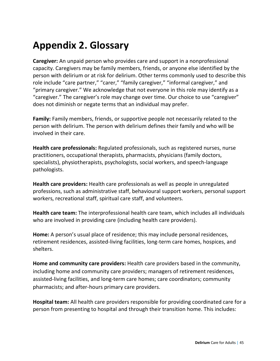## **Appendix 2. Glossary**

**Caregiver:** An unpaid person who provides care and support in a nonprofessional capacity. Caregivers may be family members, friends, or anyone else identified by the person with delirium or at risk for delirium. Other terms commonly used to describe this role include "care partner," "carer," "family caregiver," "informal caregiver," and "primary caregiver." We acknowledge that not everyone in this role may identify as a "caregiver." The caregiver's role may change over time. Our choice to use "caregiver" does not diminish or negate terms that an individual may prefer.

**Family:** Family members, friends, or supportive people not necessarily related to the person with delirium. The person with delirium defines their family and who will be involved in their care.

**Health care professionals:** Regulated professionals, such as registered nurses, nurse practitioners, occupational therapists, pharmacists, physicians (family doctors, specialists), physiotherapists, psychologists, social workers, and speech-language pathologists.

**Health care providers:** Health care professionals as well as people in unregulated professions, such as administrative staff, behavioural support workers, personal support workers, recreational staff, spiritual care staff, and volunteers.

**Health care team:** The interprofessional health care team, which includes all individuals who are involved in providing care (including health care providers).

**Home:** A person's usual place of residence; this may include personal residences, retirement residences, assisted-living facilities, long-term care homes, hospices, and shelters.

**Home and community care providers:** Health care providers based in the community, including home and community care providers; managers of retirement residences, assisted-living facilities, and long-term care homes; care coordinators; community pharmacists; and after-hours primary care providers.

**Hospital team:** All health care providers responsible for providing coordinated care for a person from presenting to hospital and through their transition home. This includes: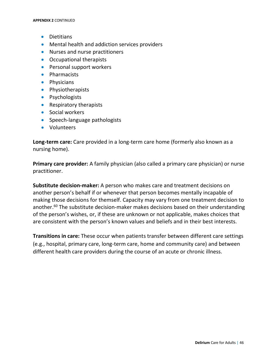- Dietitians
- Mental health and addiction services providers
- Nurses and nurse practitioners
- Occupational therapists
- Personal support workers
- Pharmacists
- Physicians
- Physiotherapists
- Psychologists
- Respiratory therapists
- Social workers
- Speech-language pathologists
- Volunteers

**Long-term care:** Care provided in a long-term care home (formerly also known as a nursing home).

**Primary care provider:** A family physician (also called a primary care physician) or nurse practitioner.

**Substitute decision-maker:** A person who makes care and treatment decisions on another person's behalf if or whenever that person becomes mentally incapable of making those decisions for themself. Capacity may vary from one treatment decision to another. <sup>60</sup> The substitute decision-maker makes decisions based on their understanding of the person's wishes, or, if these are unknown or not applicable, makes choices that are consistent with the person's known values and beliefs and in their best interests.

**Transitions in care:** These occur when patients transfer between different care settings (e.g., hospital, primary care, long-term care, home and community care) and between different health care providers during the course of an acute or chronic illness.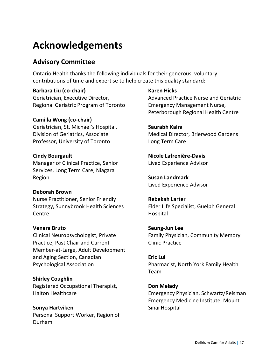## **Acknowledgements**

#### **Advisory Committee**

Ontario Health thanks the following individuals for their generous, voluntary contributions of time and expertise to help create this quality standard:

**Barbara Liu (co-chair)** Geriatrician, Executive Director, Regional Geriatric Program of Toronto

#### **Camilla Wong (co-chair)**

Geriatrician, St. Michael's Hospital, Division of Geriatrics, Associate Professor, University of Toronto

#### **Cindy Bourgault**

Manager of Clinical Practice, Senior Services, Long Term Care, Niagara Region

#### **Deborah Brown**

Nurse Practitioner, Senior Friendly Strategy, Sunnybrook Health Sciences Centre

#### **Venera Bruto**

Clinical Neuropsychologist, Private Practice; Past Chair and Current Member-at-Large, Adult Development and Aging Section, Canadian Psychological Association

**Shirley Coughlin** Registered Occupational Therapist, Halton Healthcare

#### **Sonya Hartviken**

Personal Support Worker, Region of Durham

**Karen Hicks** Advanced Practice Nurse and Geriatric Emergency Management Nurse, Peterborough Regional Health Centre

#### **Saurabh Kalra**

Medical Director, Brierwood Gardens Long Term Care

**Nicole Lafrenière-Davis**  Lived Experience Advisor

**Susan Landmark** Lived Experience Advisor

**Rebekah Larter** Elder Life Specialist, Guelph General Hospital

#### **Seung-Jun Lee** Family Physician, Community Memory Clinic Practice

**Eric Lui** Pharmacist, North York Family Health Team

#### **Don Melady**

Emergency Physician, Schwartz/Reisman Emergency Medicine Institute, Mount Sinai Hospital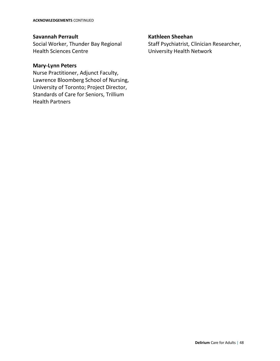#### **Savannah Perrault**

Social Worker, Thunder Bay Regional Health Sciences Centre

#### **Mary-Lynn Peters**

Nurse Practitioner, Adjunct Faculty, Lawrence Bloomberg School of Nursing, University of Toronto; Project Director, Standards of Care for Seniors, Trillium Health Partners

#### **Kathleen Sheehan**

Staff Psychiatrist, Clinician Researcher, University Health Network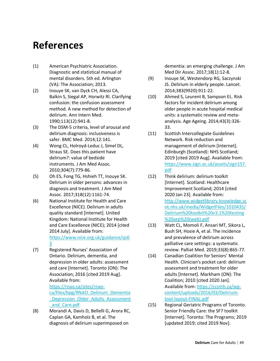## **References**

- (1) American Psychiatric Association. Diagnostic and statistical manual of mental disorders. 5th ed. Arlington (VA): The Association; 2013.
- (2) Inouye SK, van Dyck CH, Alessi CA, Balkin S, Siegal AP, Horwitz RI. Clarifying confusion: the confusion assessment method. A new method for detection of delirium. Ann Intern Med. 1990;113(12):941-8.
- (3) The DSM-5 criteria, level of arousal and delirium diagnosis: inclusiveness is safer. BMC Med. 2014;12:141.
- (4) Wong CL, Holroyd-Leduc J, Simel DL, Straus SE. Does this patient have delirium?: value of bedside instruments. J Am Med Assoc. 2010;304(7):779-86.
- (5) Oh ES, Fong TG, Hshieh TT, Inouye SK. Delirium in older persons: advances in diagnosis and treatment. J Am Med Assoc. 2017;318(12):1161-74.
- (6) National Institute for Health and Care Excellence (NICE). Delirium in adults quality standard [Internet]. United Kingdom: National Institute for Health and Care Excellence (NICE); 2014 [cited 2014 July]. Available from: [https://www.nice.org.uk/guidance/qs6](https://www.nice.org.uk/guidance/qs63) [3](https://www.nice.org.uk/guidance/qs63)
- (7) Registered Nurses' Association of Ontario. Delirium, dementia, and depression in older adults: assessment and care [Internet]. Toronto (ON): The Association; 2016 [cited 2019 Aug]. Available from:

[https://rnao.ca/sites/rnao-](https://rnao.ca/sites/rnao-ca/files/bpg/RNAO_Delirium_Dementia_Depression_Older_Adults_Assessment_and_Care.pdf)

[ca/files/bpg/RNAO\\_Delirium\\_Dementia](https://rnao.ca/sites/rnao-ca/files/bpg/RNAO_Delirium_Dementia_Depression_Older_Adults_Assessment_and_Care.pdf) Depression Older Adults Assessment [\\_and\\_Care.pdf](https://rnao.ca/sites/rnao-ca/files/bpg/RNAO_Delirium_Dementia_Depression_Older_Adults_Assessment_and_Care.pdf)

(8) Morandi A, Davis D, Bellelli G, Arora RC, Caplan GA, Kamholz B, et al. The diagnosis of delirium superimposed on

dementia: an emerging challenge. J Am Med Dir Assoc. 2017;18(1):12-8.

- (9) Inouye SK, Westendorp RG, Saczynski JS. Delirium in elderly people. Lancet. 2014;383(9920):911-22.
- (10) Ahmed S, Leurent B, Sampson EL. Risk factors for incident delirium among older people in acute hospital medical units: a systematic review and metaanalysis. Age Ageing. 2014;43(3):326- 33.
- (11) Scottish Intercollegiate Guidelines Network. Risk reduction and management of delirium [Internet]. Edinburgh (Scotland): NHS Scotland; 2019 [cited 2019 Aug]. Available from: [https://www.sign.ac.uk/assets/sign157.](https://www.sign.ac.uk/assets/sign157.pdf) [pdf](https://www.sign.ac.uk/assets/sign157.pdf)
- (12) Think delirium: delirium toolkit [Internet]. Scotland: Healthcare Improvement Scotland; 2014 [cited 2020 Jan 23]. Available from: [http://www.widgetlibrary.knowledge.sc](http://www.widgetlibrary.knowledge.scot.nhs.uk/media/WidgetFiles/1010435/Delirium%20toolkit%20v3.1%20testing%20sep%20(web).pdf) [ot.nhs.uk/media/WidgetFiles/1010435/](http://www.widgetlibrary.knowledge.scot.nhs.uk/media/WidgetFiles/1010435/Delirium%20toolkit%20v3.1%20testing%20sep%20(web).pdf) [Delirium%20toolkit%20v3.1%20testing](http://www.widgetlibrary.knowledge.scot.nhs.uk/media/WidgetFiles/1010435/Delirium%20toolkit%20v3.1%20testing%20sep%20(web).pdf) [%20sep%20\(web\).pdf](http://www.widgetlibrary.knowledge.scot.nhs.uk/media/WidgetFiles/1010435/Delirium%20toolkit%20v3.1%20testing%20sep%20(web).pdf)
- (13) Watt CL, Momoli F, Ansari MT, Sikora L, Bush SH, Hosie A, et al. The incidence and prevalence of delirium across palliative care settings: a systematic review. Palliat Med. 2019;33(8):865-77.
- (14) Canadian Coalition for Seniors' Mental Health. Clinician's pocket card: delirium assessment and treatment for older adults [Internet]. Markham (ON): The Coalition; 2010 [cited 2020 Jan]. Available from[: https://ccsmh.ca/wp](https://ccsmh.ca/wp-content/uploads/2016/03/Delirium-tool-layout-FINAL.pdf)[content/uploads/2016/03/Delirium](https://ccsmh.ca/wp-content/uploads/2016/03/Delirium-tool-layout-FINAL.pdf)[tool-layout-FINAL.pdf](https://ccsmh.ca/wp-content/uploads/2016/03/Delirium-tool-layout-FINAL.pdf)
- (15) Regional Geriatric Programs of Toronto. Senior Friendly Care: the SF7 toolkit [Internet]. Toronto: The Programs; 2019 [updated 2019; cited 2019 Nov].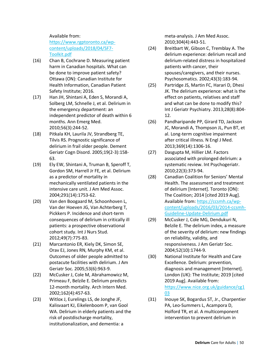#### Available from:

[https://www.rgptoronto.ca/wp](https://www.rgptoronto.ca/wp-content/uploads/2018/04/SF7-Toolkit.pdf)[content/uploads/2018/04/SF7-](https://www.rgptoronto.ca/wp-content/uploads/2018/04/SF7-Toolkit.pdf) [Toolkit.pdf](https://www.rgptoronto.ca/wp-content/uploads/2018/04/SF7-Toolkit.pdf)

- (16) Chan B, Cochrane D. Measuring patient harm in Canadian hospitals. What can be done to improve patient safety? Ottawa (ON): Canadian Institute for Health Information, Canadian Patient Safety Institute; 2016.
- (17) Han JH, Shintani A, Eden S, Morandi A, Solberg LM, Schnelle J, et al. Delirium in the emergency department: an independent predictor of death within 6 months. Ann Emerg Med. 2010;56(3):244-52.
- (18) Pitkala KH, Laurila JV, Strandberg TE, Tilvis RS. Prognostic significance of delirium in frail older people. Dement Geriatr Cogn Disord. 2005;19(2-3):158- 63.
- (19) Ely EW, Shintani A, Truman B, Speroff T, Gordon SM, Harrell Jr FE, et al. Delirium as a predictor of mortality in mechanically ventilated patients in the intensive care unit. J Am Med Assoc. 2004;291(14):1753-62.
- (20) Van den Boogaard M, Schoonhoven L, Van der Hoeven JG, Van Achterberg T, Pickkers P. Incidence and short-term consequences of delirium in critically ill patients: a prospective observational cohort study. Int J Nurs Stud. 2012;49(7):775-83.
- (21) Marcantonio ER, Kiely DK, Simon SE, Orav EJ, Jones RN, Murphy KM, et al. Outcomes of older people admitted to postacute facilities with delirium. J Am Geriatr Soc. 2005;53(6):963-9.
- (22) McCusker J, Cole M, Abrahamowicz M, Primeau F, Belzile E. Delirium predicts 12-month mortality. Arch Intern Med. 2002;162(4):457-63.
- (23) Witlox J, Eurelings LS, de Jonghe JF, Kalisvaart KJ, Eikelenboom P, van Gool WA. Delirium in elderly patients and the risk of postdischarge mortality, institutionalization, and dementia: a

meta-analysis. J Am Med Assoc. 2010;304(4):443-51.

- (24) Breitbart W, Gibson C, Tremblay A. The delirium experience: delirium recall and delirium-related distress in hospitalized patients with cancer, their spouses/caregivers, and their nurses. Psychosomatics. 2002;43(3):183-94.
- (25) Partridge JS, Martin FC, Harari D, Dhesi JK. The delirium experience: what is the effect on patients, relatives and staff and what can be done to modify this? Int J Geriatr Psychiatry. 2013;28(8):804- 12.
- (26) Pandharipande PP, Girard TD, Jackson JC, Morandi A, Thompson JL, Pun BT, et al. Long-term cognitive impairment after critical illness. N Engl J Med. 2013;369(14):1306-16.
- (27) Dasgupta M, Hillier LM. Factors associated with prolonged delirium: a systematic review. Int Psychogeriatr. 2010;22(3):373-94.
- (28) Canadian Coalition for Seniors' Mental Health. The assessment and treatment of delirium [Internet]. Toronto (ON): The Coalition; 2014 [cited 2019 Aug]. Available from[: https://ccsmh.ca/wp](https://ccsmh.ca/wp-content/uploads/2016/03/2014-ccsmh-Guideline-Update-Delirium.pdf)[content/uploads/2016/03/2014-ccsmh-](https://ccsmh.ca/wp-content/uploads/2016/03/2014-ccsmh-Guideline-Update-Delirium.pdf)[Guideline-Update-Delirium.pdf](https://ccsmh.ca/wp-content/uploads/2016/03/2014-ccsmh-Guideline-Update-Delirium.pdf)
- (29) McCusker J, Cole MG, Dendukuri N, Belzile E. The delirium index, a measure of the severity of delirium: new findings on reliability, validity, and responsiveness. J Am Geriatr Soc. 2004;52(10):1744-9.
- (30) National Institute for Health and Care Excellence. Delirium: prevention, diagnosis and management [Internet]. London (UK): The Institute; 2019 [cited 2019 Aug]. Available from: [https://www.nice.org.uk/guidance/cg1](https://www.nice.org.uk/guidance/cg103) [03](https://www.nice.org.uk/guidance/cg103)
- (31) Inouye SK, Bogardus ST, Jr., Charpentier PA, Leo-Summers L, Acampora D, Holford TR, et al. A multicomponent intervention to prevent delirium in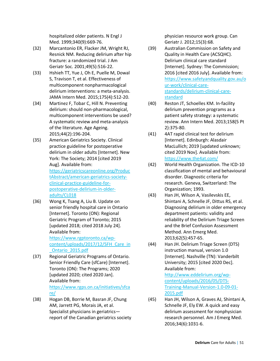hospitalized older patients. N Engl J Med. 1999;340(9):669-76.

- (32) Marcantonio ER, Flacker JM, Wright RJ, Resnick NM. Reducing delirium after hip fracture: a randomized trial. J Am Geriatr Soc. 2001;49(5):516-22.
- (33) Hshieh TT, Yue J, Oh E, Puelle M, Dowal S, Travison T, et al. Effectiveness of multicomponent nonpharmacological delirium interventions: a meta-analysis. JAMA Intern Med. 2015;175(4):512-20.
- (34) Martinez F, Tobar C, Hill N. Preventing delirium: should non-pharmacological, multicomponent interventions be used? A systematic review and meta-analysis of the literature. Age Ageing. 2015;44(2):196-204.
- (35) American Geriatrics Society. Clinical practice guideline for postoperative delirium in older adults [Internet]. New York: The Society; 2014 [cited 2019 Aug]. Available from: [https://geriatricscareonline.org/Produc](https://geriatricscareonline.org/ProductAbstract/american-geriatrics-society-clinical-practice-guideline-for-postoperative-delirium-in-older-adults/CL018) [tAbstract/american-geriatrics-society](https://geriatricscareonline.org/ProductAbstract/american-geriatrics-society-clinical-practice-guideline-for-postoperative-delirium-in-older-adults/CL018)[clinical-practice-guideline-for](https://geriatricscareonline.org/ProductAbstract/american-geriatrics-society-clinical-practice-guideline-for-postoperative-delirium-in-older-adults/CL018)[postoperative-delirium-in-older](https://geriatricscareonline.org/ProductAbstract/american-geriatrics-society-clinical-practice-guideline-for-postoperative-delirium-in-older-adults/CL018)[adults/CL018](https://geriatricscareonline.org/ProductAbstract/american-geriatrics-society-clinical-practice-guideline-for-postoperative-delirium-in-older-adults/CL018)
- (36) Wong K, Tsang A, Liu B. Update on senior friendly hospital care in Ontario [Internet]. Toronto (ON): Regional Geriatric Program of Toronto; 2015 [updated 2018; cited 2018 July 24]. Available from:

[https://www.rgptoronto.ca/wp](https://www.rgptoronto.ca/wp-content/uploads/2017/12/SFH_Care_in_Ontario_2015.pdf)[content/uploads/2017/12/SFH\\_Care\\_in](https://www.rgptoronto.ca/wp-content/uploads/2017/12/SFH_Care_in_Ontario_2015.pdf) [\\_Ontario\\_2015.pdf](https://www.rgptoronto.ca/wp-content/uploads/2017/12/SFH_Care_in_Ontario_2015.pdf)

- (37) Regional Geriatric Programs of Ontario. Senior Friendly Care (sfCare) [Internet]. Toronto (ON): The Programs; 2020 [updated 2020; cited 2020 Jan]. Available from: [https://www.rgps.on.ca/initiatives/sfca](https://www.rgps.on.ca/initiatives/sfcare/) [re/](https://www.rgps.on.ca/initiatives/sfcare/)
- (38) Hogan DB, Borrie M, Basran JF, Chung AM, Jarrett PG, Morais JA, et al. Specialist physicians in geriatrics report of the Canadian geriatrics society

physician resource work group. Can Geriatr J. 2012;15(3):68.

- (39) Australian Commission on Safety and Quality in Health Care (ACSQHC). Delirium clinical care standard [Internet]. Sydney: The Commission; 2016 [cited 2016 July]. Available from: [https://www.safetyandquality.gov.au/o](https://www.safetyandquality.gov.au/our-work/clinical-care-standards/delirium-clinical-care-standard) [ur-work/clinical-care](https://www.safetyandquality.gov.au/our-work/clinical-care-standards/delirium-clinical-care-standard)[standards/delirium-clinical-care](https://www.safetyandquality.gov.au/our-work/clinical-care-standards/delirium-clinical-care-standard)[standard](https://www.safetyandquality.gov.au/our-work/clinical-care-standards/delirium-clinical-care-standard)
- (40) Reston JT, Schoelles KM. In-facility delirium prevention programs as a patient safety strategy: a systematic review. Ann Intern Med. 2013;158(5 Pt 2):375-80.
- (41) 4AT rapid clinical test for delirium [Internet]. Edinburgh: Alasdair MacLullich; 2019 [updated unknown; cited 2019 Nov]. Available from: <https://www.the4at.com/>
- (42) World Health Organization. The ICD-10 classification of mental and behavioural disorder. Diagnostic criteria for research. Geneva, Switzerland: The Organization; 1993.
- (43) Han JH, Wilson A, Vasilevskis EE, Shintani A, Schnelle JF, Dittus RS, et al. Diagnosing delirium in older emergency department patients: validity and reliability of the Delirium Triage Screen and the Brief Confusion Assessment Method. Ann Emerg Med. 2013;62(5):457-65.
- (44) Han JH. Delirium Triage Screen (DTS) instruction manual, version 1.0 [Internet]. Nashville (TN): Vanderbilt University; 2015 [cited 2020 Dec]. Available from: [http://www.eddelirium.org/wp](http://www.eddelirium.org/wp-content/uploads/2016/05/DTS-Training-Manual-Version-1.0-09-01-2015.pdf)[content/uploads/2016/05/DTS-](http://www.eddelirium.org/wp-content/uploads/2016/05/DTS-Training-Manual-Version-1.0-09-01-2015.pdf)[Training-Manual-Version-1.0-09-01-](http://www.eddelirium.org/wp-content/uploads/2016/05/DTS-Training-Manual-Version-1.0-09-01-2015.pdf) [2015.pdf](http://www.eddelirium.org/wp-content/uploads/2016/05/DTS-Training-Manual-Version-1.0-09-01-2015.pdf)
- (45) Han JH, Wilson A, Graves AJ, Shintani A, Schnelle JF, Ely EW. A quick and easy delirium assessment for nonphysician research personnel. Am J Emerg Med. 2016;34(6):1031-6.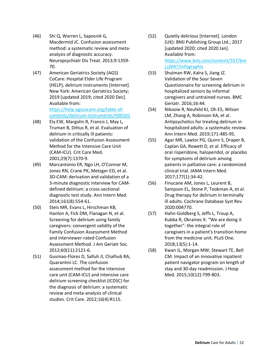- (46) Shi Q, Warren L, Saposnik G, Macdermid JC. Confusion assessment method: a systematic review and metaanalysis of diagnostic accuracy. Neuropsychiatr Dis Treat. 2013;9:1359- 70.
- (47) American Geriatrics Society (AGS) CoCare: Hospital Elder Life Program (HELP), delirium instruments [Internet]. New York: American Geriatrics Society; 2019 [updated 2019; cited 2020 Dec]. Available from:

[https://help.agscocare.org/table-of](https://help.agscocare.org/table-of-contents/delirium-instruments/H00101)[contents/delirium-instruments/H00101](https://help.agscocare.org/table-of-contents/delirium-instruments/H00101)

- (48) Ely EW, Margolin R, Francis J, May L, Truman B, Dittus R, et al. Evaluation of delirium in critically ill patients: validation of the Confusion Assessment Method for the Intensive Care Unit (CAM-ICU). Crit Care Med. 2001;29(7):1370-9.
- (49) Marcantonio ER, Ngo LH, O'Connor M, Jones RN, Crane PK, Metzger ED, et al. 3D-CAM: derivation and validation of a 3-minute diagnostic interview for CAMdefined delirium: a cross-sectional diagnostic test study. Ann Intern Med. 2014;161(8):554-61.
- (50) Steis MR, Evans L, Hirschman KB, Hanlon A, Fick DM, Flanagan N, et al. Screening for delirium using family caregivers: convergent validity of the Family Confusion Assessment Method and interviewer-rated Confusion Assessment Method. J Am Geriatr Soc. 2012;60(11):2121-6.
- (51) Gusmao-Flores D, Salluh JI, Chalhub RA, Quarantini LC. The confusion assessment method for the intensive care unit (CAM-ICU) and intensive care delirium screening checklist (ICDSC) for the diagnosis of delirium: a systematic review and meta-analysis of clinical studies. Crit Care. 2012;16(4):R115.
- (52) Quietly delirious [Internet]. London (UK): BMJ Publishing Group Ltd.; 2017 [updated 2020; cited 2020 Jan]. Available from: [https://www.bmj.com/content/357/bm](https://www.bmj.com/content/357/bmj.j2047/infographic) [j.j2047/infographic](https://www.bmj.com/content/357/bmj.j2047/infographic)
- (53) Shulman RW, Kalra S, Jiang JZ. Validation of the Sour Seven Questionnaire for screening delirium in hospitalized seniors by informal caregivers and untrained nurses. BMC Geriatr. 2016;16:44.
- (54) Nikooie R, Neufeld KJ, Oh ES, Wilson LM, Zhang A, Robinson KA, et al. Antipsychotics for treating delirium in hospitalized adults: a systematic review. Ann Intern Med. 2019;171:485-95.
- (55) Agar MR, Lawlor PG, Quinn S, Draper B, Caplan GA, Rowett D, et al. Efficacy of oral risperidone, haloperidol, or placebo for symptoms of delirium among patients in palliative care: a randomized clinical trial. JAMA Intern Med. 2017;177(1):34-42.
- (56) Finucane AM, Jones L, Leurent B, Sampson EL, Stone P, Tookman A, et al. Drug therapy for delirium in terminally ill adults. Cochrane Database Syst Rev. 2020:004770.
- (57) Hahn-Goldberg S, Jeffs L, Troup A, Kubba R, Okrainec K. "We are doing it together": the integral role of caregivers in a patient's transition home from the medicine unit. PLoS One. 2018;13(5):1-14.
- (58) Kwan JL, Morgan MW, Stewart TE, Bell CM. Impact of an innovative inpatient patient navigator program on length of stay and 30-day readmission. J Hosp Med. 2015;10(12):799-803.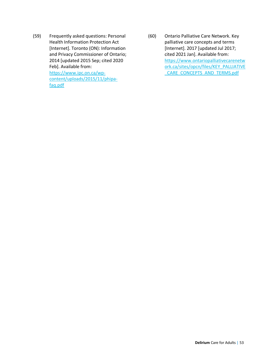- (59) Frequently asked questions: Personal Health Information Protection Act [Internet]. Toronto (ON): Information and Privacy Commissioner of Ontario; 2014 [updated 2015 Sep; cited 2020 Feb]. Available from: [https://www.ipc.on.ca/wp](https://www.ipc.on.ca/wp-content/uploads/2015/11/phipa-faq.pdf)[content/uploads/2015/11/phipa](https://www.ipc.on.ca/wp-content/uploads/2015/11/phipa-faq.pdf)[faq.pdf](https://www.ipc.on.ca/wp-content/uploads/2015/11/phipa-faq.pdf)
- (60) Ontario Palliative Care Network. Key palliative care concepts and terms [Internet]. 2017 [updated Jul 2017; cited 2021 Jan]. Available from: [https://www.ontariopalliativecarenetw](https://www.ontariopalliativecarenetwork.ca/sites/opcn/files/KEY_PALLIATIVE_CARE_CONCEPTS_AND_TERMS.pdf) [ork.ca/sites/opcn/files/KEY\\_PALLIATIVE](https://www.ontariopalliativecarenetwork.ca/sites/opcn/files/KEY_PALLIATIVE_CARE_CONCEPTS_AND_TERMS.pdf) [\\_CARE\\_CONCEPTS\\_AND\\_TERMS.pdf](https://www.ontariopalliativecarenetwork.ca/sites/opcn/files/KEY_PALLIATIVE_CARE_CONCEPTS_AND_TERMS.pdf)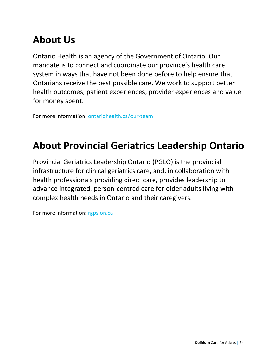## **About Us**

Ontario Health is an agency of the Government of Ontario. Our mandate is to connect and coordinate our province's health care system in ways that have not been done before to help ensure that Ontarians receive the best possible care. We work to support better health outcomes, patient experiences, provider experiences and value for money spent.

For more information: [ontariohealth.ca/our-team](https://www.ontariohealth.ca/our-team)

## **About Provincial Geriatrics Leadership Ontario**

Provincial Geriatrics Leadership Ontario (PGLO) is the provincial infrastructure for clinical geriatrics care, and, in collaboration with health professionals providing direct care, provides leadership to advance integrated, person-centred care for older adults living with complex health needs in Ontario and their caregivers.

For more information: [rgps.on.ca](https://www.rgps.on.ca/)